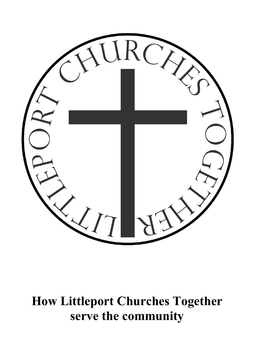

**How Littleport Churches Together serve the community**